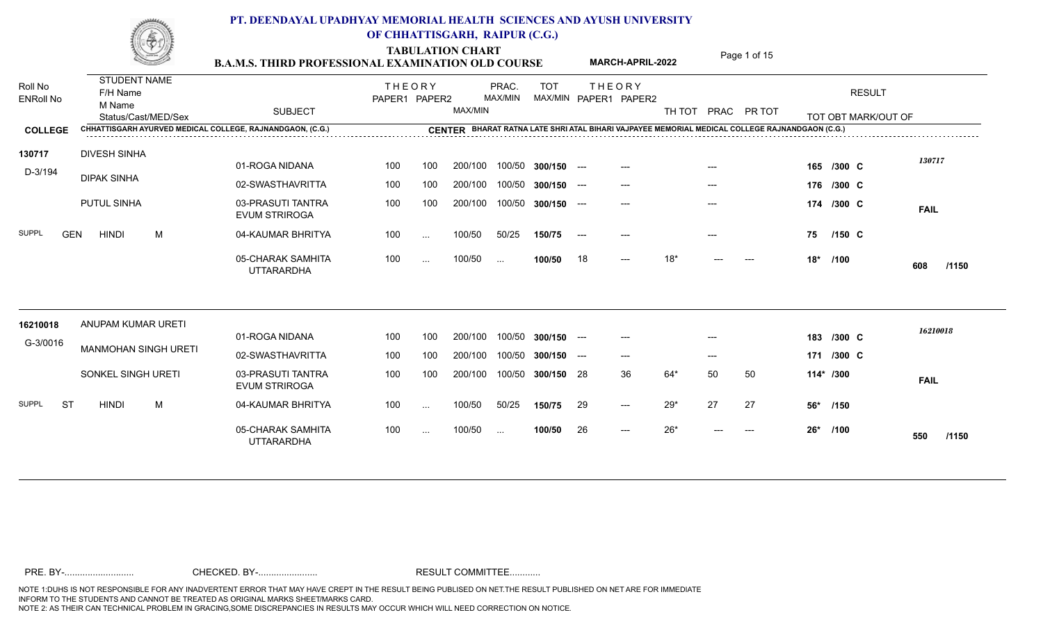|                             |                                 |                             | <b>B.A.M.S. THIRD PROFESSIONAL EXAMINATION OLD COURSE</b> |                                |          |         | <b>TABULATION CHART</b> |               |       | <b>MARCH-APRIL-2022</b>                |        |       | Page 1 of 15                                                                                   |     |                     |              |
|-----------------------------|---------------------------------|-----------------------------|-----------------------------------------------------------|--------------------------------|----------|---------|-------------------------|---------------|-------|----------------------------------------|--------|-------|------------------------------------------------------------------------------------------------|-----|---------------------|--------------|
| Roll No<br><b>ENRoll No</b> | <b>STUDENT NAME</b><br>F/H Name |                             |                                                           | <b>THEORY</b><br>PAPER1 PAPER2 |          |         | PRAC.<br>MAX/MIN        | <b>TOT</b>    |       | <b>THEORY</b><br>MAX/MIN PAPER1 PAPER2 |        |       |                                                                                                |     | <b>RESULT</b>       |              |
|                             | M Name                          | Status/Cast/MED/Sex         | <b>SUBJECT</b>                                            |                                |          | MAX/MIN |                         |               |       |                                        | TH TOT |       | PRAC PR TOT                                                                                    |     | TOT OBT MARK/OUT OF |              |
| <b>COLLEGE</b>              |                                 |                             | CHHATTISGARH AYURVED MEDICAL COLLEGE, RAJNANDGAON, (C.G.) |                                |          |         |                         |               |       |                                        |        |       | CENTER BHARAT RATNA LATE SHRI ATAL BIHARI VAJPAYEE MEMORIAL MEDICAL COLLEGE RAJNANDGAON (C.G.) |     |                     |              |
| 130717                      | <b>DIVESH SINHA</b>             |                             | 01-ROGA NIDANA                                            | 100                            | 100      | 200/100 | 100/50                  | $300/150$ --- |       | $---$                                  |        | $---$ |                                                                                                |     | 165 /300 C          | 130717       |
| D-3/194                     | <b>DIPAK SINHA</b>              |                             | 02-SWASTHAVRITTA                                          | 100                            | 100      | 200/100 | 100/50                  | $300/150$ --- |       | $---$                                  |        |       |                                                                                                |     | 176 /300 C          |              |
|                             | PUTUL SINHA                     |                             | 03-PRASUTI TANTRA<br><b>EVUM STRIROGA</b>                 | 100                            | 100      | 200/100 | 100/50                  | $300/150$ --- |       | $---$                                  |        | $---$ |                                                                                                |     | 174 /300 C          | <b>FAIL</b>  |
| <b>SUPPL</b><br><b>GEN</b>  | <b>HINDI</b>                    | M                           | 04-KAUMAR BHRITYA                                         | 100                            | $\sim$   | 100/50  | 50/25                   | 150/75        | $---$ |                                        |        |       |                                                                                                | 75  | $/150$ C            |              |
|                             |                                 |                             | 05-CHARAK SAMHITA<br><b>UTTARARDHA</b>                    | 100                            | $\cdots$ | 100/50  | $\sim$                  | 100/50        | 18    | $---$                                  | $18*$  |       |                                                                                                | 18* | /100                | 608<br>/1150 |
| 16210018                    |                                 | ANUPAM KUMAR URETI          |                                                           |                                |          |         |                         |               |       |                                        |        |       |                                                                                                |     |                     |              |
| G-3/0016                    |                                 |                             | 01-ROGA NIDANA                                            | 100                            | 100      | 200/100 | 100/50                  | $300/150$ --- |       | $---$                                  |        |       |                                                                                                |     | 183 /300 C          | 16210018     |
|                             |                                 | <b>MANMOHAN SINGH URETI</b> | 02-SWASTHAVRITTA                                          | 100                            | 100      | 200/100 | 100/50                  | 300/150       | $---$ | $---$                                  |        | $---$ |                                                                                                |     | 171 /300 C          |              |
|                             |                                 | SONKEL SINGH URETI          | 03-PRASUTI TANTRA<br><b>EVUM STRIROGA</b>                 | 100                            | 100      | 200/100 | 100/50                  | 300/150 28    |       | 36                                     | 64*    | 50    | 50                                                                                             |     | 114* /300           | <b>FAIL</b>  |
| <b>SUPPL</b><br>-ST         | <b>HINDI</b>                    | M                           | 04-KAUMAR BHRITYA                                         | 100                            | $\cdots$ | 100/50  | 50/25                   | 150/75        | 29    | $---$                                  | $29*$  | 27    | 27                                                                                             | 56* | /150                |              |
|                             |                                 |                             | 05-CHARAK SAMHITA<br><b>UTTARARDHA</b>                    | 100                            | $\cdots$ | 100/50  | $\sim$ .                | 100/50        | 26    | $---$                                  | $26*$  |       | $---$                                                                                          |     | 26* /100            | 550<br>/1150 |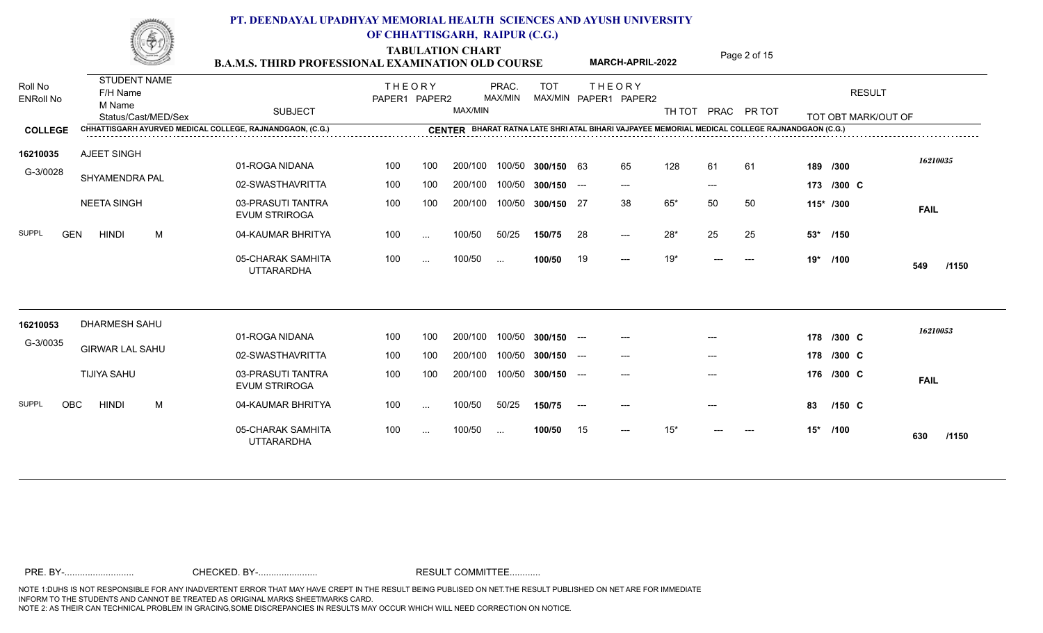**TABULATION CHART**<br>**PAMIS THIRD PROFESSIONAL EXAMINATION OLD COURSE** MARCH-APRIL-2022 Page 2 of 15

|                             | <u>SSI</u>                                                       | <b>B.A.M.S. THIRD PROFESSIONAL EXAMINATION OLD COURSE</b> |                                |          |         |                  |               |       | MARCH-APRIL-2022                       |             |       | Page 2 01 15 |       |                                      |              |
|-----------------------------|------------------------------------------------------------------|-----------------------------------------------------------|--------------------------------|----------|---------|------------------|---------------|-------|----------------------------------------|-------------|-------|--------------|-------|--------------------------------------|--------------|
| Roll No<br><b>ENRoll No</b> | <b>STUDENT NAME</b><br>F/H Name<br>M Name<br>Status/Cast/MED/Sex | <b>SUBJECT</b>                                            | <b>THEORY</b><br>PAPER1 PAPER2 |          | MAX/MIN | PRAC.<br>MAX/MIN | <b>TOT</b>    |       | <b>THEORY</b><br>MAX/MIN PAPER1 PAPER2 | TH TOT PRAC |       | PR TOT       |       | <b>RESULT</b><br>TOT OBT MARK/OUT OF |              |
| <b>COLLEGE</b>              | CHHATTISGARH AYURVED MEDICAL COLLEGE, RAJNANDGAON, (C.G.)        |                                                           |                                |          |         |                  |               |       |                                        |             |       |              |       |                                      |              |
| 16210035                    | <b>AJEET SINGH</b>                                               |                                                           |                                |          |         |                  |               |       |                                        |             |       |              |       |                                      |              |
| G-3/0028                    |                                                                  | 01-ROGA NIDANA                                            | 100                            | 100      | 200/100 | 100/50           | 300/150 63    |       | 65                                     | 128         | 61    | 61           |       | 189 /300                             | 16210035     |
|                             | SHYAMENDRA PAL                                                   | 02-SWASTHAVRITTA                                          | 100                            | 100      | 200/100 | 100/50           | $300/150$ --- |       | $---$                                  |             | $---$ |              |       | 173 /300 C                           |              |
|                             | <b>NEETA SINGH</b>                                               | 03-PRASUTI TANTRA<br><b>EVUM STRIROGA</b>                 | 100                            | 100      | 200/100 | 100/50           | 300/150 27    |       | 38                                     | $65*$       | 50    | 50           |       | 115* /300                            | <b>FAIL</b>  |
| <b>GEN</b><br>SUPPL         | <b>HINDI</b><br>M                                                | 04-KAUMAR BHRITYA                                         | 100                            | $\cdots$ | 100/50  | 50/25            | 150/75        | 28    | $---$                                  | $28*$       | 25    | 25           | $53*$ | /150                                 |              |
|                             |                                                                  | 05-CHARAK SAMHITA<br><b>UTTARARDHA</b>                    | 100                            | $\cdots$ | 100/50  | $\sim$ .         | 100/50        | 19    | $---$                                  | $19*$       |       |              | 19*   | /100                                 | 549<br>/1150 |
| 16210053                    | <b>DHARMESH SAHU</b>                                             |                                                           |                                |          |         |                  |               |       |                                        |             |       |              |       |                                      |              |
| G-3/0035                    |                                                                  | 01-ROGA NIDANA                                            | 100                            | 100      | 200/100 | 100/50           | $300/150$ --- |       | $---$                                  |             |       |              |       | 178 /300 C                           | 16210053     |
|                             | <b>GIRWAR LAL SAHU</b>                                           | 02-SWASTHAVRITTA                                          | 100                            | 100      | 200/100 | 100/50           | 300/150       | $---$ | $---$                                  |             | $---$ |              |       | 178 /300 C                           |              |
|                             | <b>TIJIYA SAHU</b>                                               | 03-PRASUTI TANTRA<br><b>EVUM STRIROGA</b>                 | 100                            | 100      | 200/100 | 100/50           | $300/150$ --- |       | $---$                                  |             | $---$ |              |       | 176 /300 C                           | <b>FAIL</b>  |
| <b>SUPPL</b><br><b>OBC</b>  | <b>HINDI</b><br>M                                                | 04-KAUMAR BHRITYA                                         | 100                            | $\cdots$ | 100/50  | 50/25            | 150/75        | $---$ | $---$                                  |             |       |              | 83    | $/150$ C                             |              |
|                             |                                                                  | 05-CHARAK SAMHITA<br><b>UTTARARDHA</b>                    | 100                            | $\cdots$ | 100/50  | $\sim$           | 100/50        | 15    | $---$                                  | $15*$       |       |              | 15*   | /100                                 | /1150<br>630 |
|                             |                                                                  |                                                           |                                |          |         |                  |               |       |                                        |             |       |              |       |                                      |              |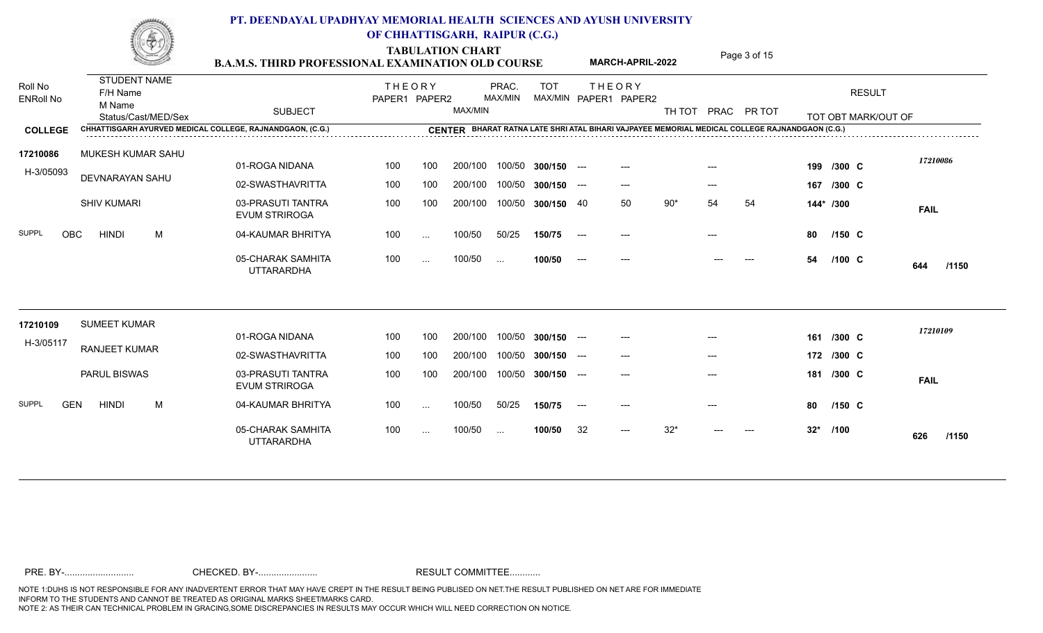|                             | $, + - +$                                 | <b>B.A.M.S. THIRD PROFESSIONAL EXAMINATION OLD COURSE</b>                   |                                |               | <b>TABULATION CHART</b> |                  |                    |       | <b>MARCH-APRIL-2022</b>                |        |       | Page 3 of 15                                                                                                  |        |                                                                                  |              |
|-----------------------------|-------------------------------------------|-----------------------------------------------------------------------------|--------------------------------|---------------|-------------------------|------------------|--------------------|-------|----------------------------------------|--------|-------|---------------------------------------------------------------------------------------------------------------|--------|----------------------------------------------------------------------------------|--------------|
| Roll No<br><b>ENRoll No</b> | <b>STUDENT NAME</b><br>F/H Name<br>M Name |                                                                             | <b>THEORY</b><br>PAPER1 PAPER2 |               |                         | PRAC.<br>MAX/MIN | <b>TOT</b>         |       | <b>THEORY</b><br>MAX/MIN PAPER1 PAPER2 |        |       |                                                                                                               |        | <b>RESULT</b>                                                                    |              |
|                             | Status/Cast/MED/Sex                       | <b>SUBJECT</b><br>CHHATTISGARH AYURVED MEDICAL COLLEGE, RAJNANDGAON, (C.G.) |                                |               | MAX/MIN                 |                  |                    |       |                                        | TH TOT |       | PRAC PR TOT<br>CENTER BHARAT RATNA LATE SHRI ATAL BIHARI VAJPAYEE MEMORIAL MEDICAL COLLEGE RAJNANDGAON (C.G.) |        | TOT OBT MARK/OUT OF                                                              |              |
| <b>COLLEGE</b>              |                                           |                                                                             |                                |               |                         |                  |                    |       |                                        |        |       |                                                                                                               |        | ,我们也不会有什么。""我们的人,我们也不会有什么?""我们的人,我们也不会有什么?""我们的人,我们也不会有什么?""我们的人,我们也不会有什么?""我们的人 |              |
| 17210086<br>H-3/05093       | MUKESH KUMAR SAHU                         | 01-ROGA NIDANA                                                              | 100                            | 100           | 200/100                 |                  | 100/50 300/150 --- |       | $---$                                  |        | $---$ |                                                                                                               |        | 199 /300 C                                                                       | 17210086     |
|                             | DEVNARAYAN SAHU                           | 02-SWASTHAVRITTA                                                            | 100                            | 100           | 200/100                 |                  | 100/50 300/150 --- |       | $---$                                  |        | $---$ |                                                                                                               |        | 167 /300 C                                                                       |              |
|                             | <b>SHIV KUMARI</b>                        | 03-PRASUTI TANTRA<br><b>EVUM STRIROGA</b>                                   | 100                            | 100           | 200/100                 |                  | 100/50 300/150 40  |       | 50                                     | $90*$  | 54    | 54                                                                                                            |        | 144* /300                                                                        | <b>FAIL</b>  |
| <b>SUPPL</b><br><b>OBC</b>  | <b>HINDI</b><br>M                         | 04-KAUMAR BHRITYA                                                           | 100                            | $\sim$        | 100/50                  | 50/25            | 150/75             | $---$ | $---$                                  |        | $---$ |                                                                                                               | 80     | $/150$ C                                                                         |              |
|                             |                                           | 05-CHARAK SAMHITA<br><b>UTTARARDHA</b>                                      | 100                            | $\cdots$      | 100/50                  | $\sim$ .         | 100/50             | $---$ | $---$                                  |        |       |                                                                                                               | 54     | $/100 \text{ C}$                                                                 | /1150<br>644 |
| 17210109                    | <b>SUMEET KUMAR</b>                       |                                                                             |                                |               |                         |                  |                    |       |                                        |        |       |                                                                                                               |        |                                                                                  | 17210109     |
| H-3/05117                   | <b>RANJEET KUMAR</b>                      | 01-ROGA NIDANA                                                              | 100                            | 100           | 200/100                 |                  | 100/50 300/150 --- |       | $---$                                  |        | $---$ |                                                                                                               |        | 161 /300 C                                                                       |              |
|                             |                                           | 02-SWASTHAVRITTA                                                            | 100                            | 100           | 200/100                 |                  | 100/50 300/150 --- |       | $---$                                  |        | $---$ |                                                                                                               |        | 172 /300 C                                                                       |              |
|                             | PARUL BISWAS                              | 03-PRASUTI TANTRA<br><b>EVUM STRIROGA</b>                                   | 100                            | 100           | 200/100                 |                  | 100/50 300/150     | $---$ | $---$                                  |        | ---   |                                                                                                               |        | 181 /300 C                                                                       | <b>FAIL</b>  |
| <b>SUPPL</b><br><b>GEN</b>  | <b>HINDI</b><br>M                         | 04-KAUMAR BHRITYA                                                           | 100                            | $\ldots$      | 100/50                  | 50/25            | 150/75             | $--$  |                                        |        |       |                                                                                                               | 80     | $/150$ C                                                                         |              |
|                             |                                           | 05-CHARAK SAMHITA<br><b>UTTARARDHA</b>                                      | 100                            | $\sim$ $\sim$ | 100/50                  | $\sim$           | 100/50             | 32    | $---$                                  | $32*$  | ---   | ---                                                                                                           | $32^*$ | /100                                                                             | /1150<br>626 |
|                             |                                           |                                                                             |                                |               |                         |                  |                    |       |                                        |        |       |                                                                                                               |        |                                                                                  |              |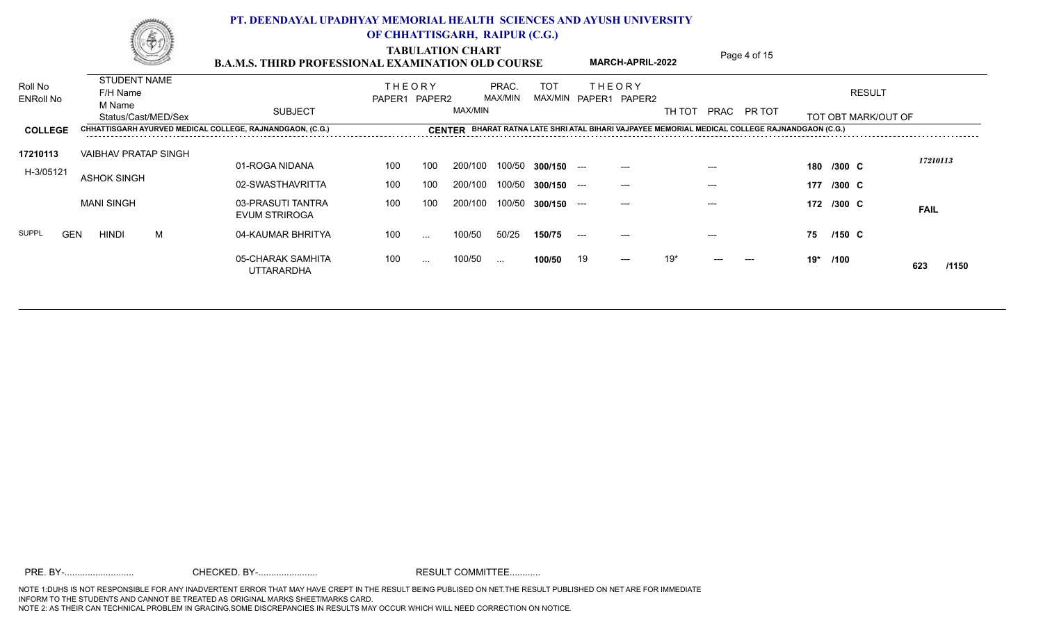TABULATION CHART<br>**PAMIS THIRD PROFESSIONAL EXAMINATION OLD COURSE** MARCH-APRIL-2022 Page 4 of 15

|                             |            |                                           | SSI | <b>B.A.M.S. THIRD PROFESSIONAL EXAMINATION OLD COURSE</b> |                                |          |         |                  |            |       | <b>MARCH-APRIL-2022</b>                |        |       | Page 4 OF 15                                                                                   |     |            |                     |              |
|-----------------------------|------------|-------------------------------------------|-----|-----------------------------------------------------------|--------------------------------|----------|---------|------------------|------------|-------|----------------------------------------|--------|-------|------------------------------------------------------------------------------------------------|-----|------------|---------------------|--------------|
| Roll No<br><b>ENRoll No</b> |            | <b>STUDENT NAME</b><br>F/H Name<br>M Name |     |                                                           | <b>THEORY</b><br>PAPER1 PAPER2 |          |         | PRAC.<br>MAX/MIN | <b>TOT</b> |       | <b>THEORY</b><br>MAX/MIN PAPER1 PAPER2 |        |       |                                                                                                |     |            | <b>RESULT</b>       |              |
|                             |            | Status/Cast/MED/Sex                       |     | <b>SUBJECT</b>                                            |                                |          | MAX/MIN |                  |            |       |                                        | TH TOT |       | PRAC PR TOT                                                                                    |     |            | TOT OBT MARK/OUT OF |              |
| <b>COLLEGE</b>              |            |                                           |     | CHHATTISGARH AYURVED MEDICAL COLLEGE, RAJNANDGAON, (C.G.) |                                |          |         |                  |            |       |                                        |        |       | CENTER BHARAT RATNA LATE SHRI ATAL BIHARI VAJPAYEE MEMORIAL MEDICAL COLLEGE RAJNANDGAON (C.G.) |     |            |                     |              |
| 17210113                    |            | <b>VAIBHAV PRATAP SINGH</b>               |     |                                                           |                                |          |         |                  |            |       |                                        |        |       |                                                                                                |     |            |                     |              |
| H-3/05121                   |            |                                           |     | 01-ROGA NIDANA                                            | 100                            | 100      | 200/100 | 100/50           | 300/150    | $---$ | $---$                                  |        | $---$ |                                                                                                |     | 180 /300 C |                     | 17210113     |
|                             |            | <b>ASHOK SINGH</b>                        |     | 02-SWASTHAVRITTA                                          | 100                            | 100      | 200/100 | 100/50           | 300/150    | $---$ | $---$                                  |        | $---$ |                                                                                                | 177 | $/300$ C   |                     |              |
|                             |            | <b>MANI SINGH</b>                         |     | 03-PRASUTI TANTRA<br><b>EVUM STRIROGA</b>                 | 100                            | 100      | 200/100 | 100/50           | 300/150    | $---$ | $---$                                  |        |       |                                                                                                |     | 172 /300 C |                     | <b>FAIL</b>  |
| <b>SUPPL</b>                | <b>GEN</b> | <b>HINDI</b>                              | M   | 04-KAUMAR BHRITYA                                         | 100                            | $\cdots$ | 100/50  | 50/25            | 150/75     | $---$ | $---$                                  |        | $---$ |                                                                                                | 75  | $/150$ C   |                     |              |
|                             |            |                                           |     | 05-CHARAK SAMHITA<br><b>UTTARARDHA</b>                    | 100                            | $\cdots$ | 100/50  | $\sim$           | 100/50     | 19    | $---$                                  | $19*$  | $---$ | $---$                                                                                          |     | 19* /100   |                     | 623<br>/1150 |
|                             |            |                                           |     |                                                           |                                |          |         |                  |            |       |                                        |        |       |                                                                                                |     |            |                     |              |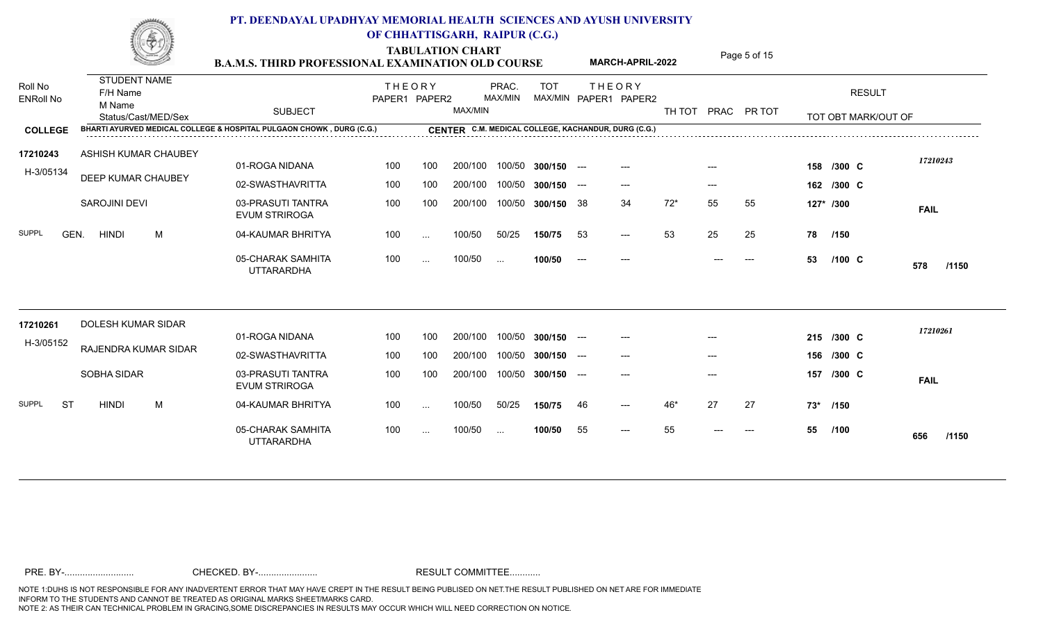**TABULATION CHART**<br>**PAMIS THIRD PROFESSIONAL EXAMINATION OLD COURSE** MARCH-APRIL-2022 Page 5 of 15

|                             | <u>SSI</u>                                                       | <b>B.A.M.S. THIRD PROFESSIONAL EXAMINATION OLD COURSE</b>            |                                |               |         |                  |                    |       | MARCH-APRIL-2022                                    |        |       | Page 5 01 T5 |     |                                      |              |
|-----------------------------|------------------------------------------------------------------|----------------------------------------------------------------------|--------------------------------|---------------|---------|------------------|--------------------|-------|-----------------------------------------------------|--------|-------|--------------|-----|--------------------------------------|--------------|
| Roll No<br><b>ENRoll No</b> | <b>STUDENT NAME</b><br>F/H Name<br>M Name<br>Status/Cast/MED/Sex | <b>SUBJECT</b>                                                       | <b>THEORY</b><br>PAPER1 PAPER2 |               | MAX/MIN | PRAC.<br>MAX/MIN | <b>TOT</b>         |       | <b>THEORY</b><br>MAX/MIN PAPER1 PAPER2              | TH TOT |       | PRAC PR TOT  |     | <b>RESULT</b><br>TOT OBT MARK/OUT OF |              |
| <b>COLLEGE</b>              |                                                                  | BHARTI AYURVED MEDICAL COLLEGE & HOSPITAL PULGAON CHOWK, DURG (C.G.) |                                |               |         |                  |                    |       | CENTER C.M. MEDICAL COLLEGE, KACHANDUR, DURG (C.G.) |        |       |              |     |                                      |              |
| 17210243<br>H-3/05134       | ASHISH KUMAR CHAUBEY                                             | 01-ROGA NIDANA                                                       | 100                            | 100           | 200/100 | 100/50           | $300/150$ ---      |       | $---$                                               |        |       |              |     | 158 /300 C                           | 17210243     |
|                             | DEEP KUMAR CHAUBEY                                               | 02-SWASTHAVRITTA                                                     | 100                            | 100           | 200/100 |                  | 100/50 300/150 --- |       | $---$                                               |        | $---$ |              |     | 162 /300 C                           |              |
|                             | SAROJINI DEVI                                                    | 03-PRASUTI TANTRA<br><b>EVUM STRIROGA</b>                            | 100                            | 100           | 200/100 |                  | 100/50 300/150 38  |       | 34                                                  | $72*$  | 55    | 55           |     | 127* /300                            | <b>FAIL</b>  |
| <b>SUPPL</b><br>GEN.        | <b>HINDI</b><br>М                                                | 04-KAUMAR BHRITYA                                                    | 100                            | $\ldots$      | 100/50  | 50/25            | 150/75             | 53    | $---$                                               | 53     | 25    | 25           | 78  | /150                                 |              |
|                             |                                                                  | 05-CHARAK SAMHITA<br><b>UTTARARDHA</b>                               | 100                            | $\cdots$      | 100/50  | $\sim$           | 100/50             | $---$ |                                                     |        |       | ---          | 53  | $/100$ C                             | 578<br>/1150 |
| 17210261                    | DOLESH KUMAR SIDAR                                               |                                                                      |                                |               |         |                  |                    |       |                                                     |        |       |              |     |                                      |              |
| H-3/05152                   |                                                                  | 01-ROGA NIDANA                                                       | 100                            | 100           | 200/100 |                  | 100/50 300/150 --- |       | $---$                                               |        | $---$ |              |     | 215 /300 C                           | 17210261     |
|                             | RAJENDRA KUMAR SIDAR                                             | 02-SWASTHAVRITTA                                                     | 100                            | 100           | 200/100 | 100/50           | $300/150$ ---      |       | $---$                                               |        | $---$ |              |     | 156 /300 C                           |              |
|                             | SOBHA SIDAR                                                      | 03-PRASUTI TANTRA<br><b>EVUM STRIROGA</b>                            | 100                            | 100           | 200/100 |                  | 100/50 300/150 --- |       | $---$                                               |        | $---$ |              |     | 157 /300 C                           | <b>FAIL</b>  |
| <b>SUPPL</b><br><b>ST</b>   | M<br><b>HINDI</b>                                                | 04-KAUMAR BHRITYA                                                    | 100                            | $\cdots$      | 100/50  | 50/25            | 150/75             | 46    | $---$                                               | $46*$  | 27    | 27           | 73* | /150                                 |              |
|                             |                                                                  | 05-CHARAK SAMHITA<br><b>UTTARARDHA</b>                               | 100                            | $\sim$ $\sim$ | 100/50  | $\sim$           | 100/50             | 55    | $---$                                               | 55     |       |              | 55  | /100                                 | /1150<br>656 |
|                             |                                                                  |                                                                      |                                |               |         |                  |                    |       |                                                     |        |       |              |     |                                      |              |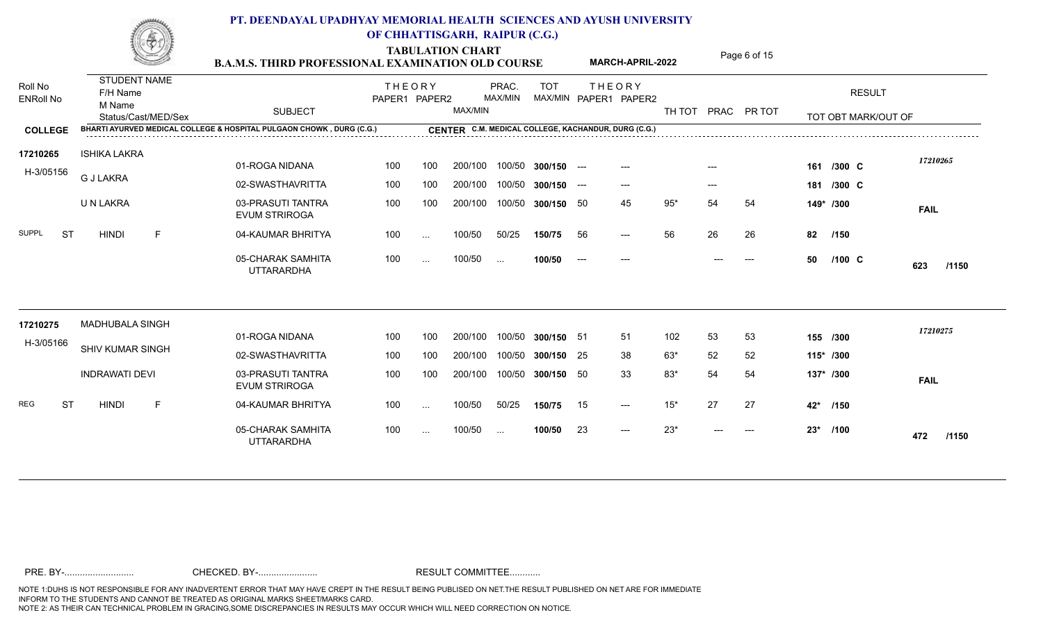|                             | IJ,<br>All arms                           | <b>B.A.M.S. THIRD PROFESSIONAL EXAMINATION OLD COURSE</b>            |                                |                          | <b>TABULATION CHART</b> |                          |                    |       | <b>MARCH-APRIL-2022</b>                             |        |       | Page 6 of 15 |       |                     |              |
|-----------------------------|-------------------------------------------|----------------------------------------------------------------------|--------------------------------|--------------------------|-------------------------|--------------------------|--------------------|-------|-----------------------------------------------------|--------|-------|--------------|-------|---------------------|--------------|
| Roll No<br><b>ENRoll No</b> | <b>STUDENT NAME</b><br>F/H Name<br>M Name |                                                                      | <b>THEORY</b><br>PAPER1 PAPER2 |                          |                         | PRAC.<br>MAX/MIN         | <b>TOT</b>         |       | <b>THEORY</b><br>MAX/MIN PAPER1 PAPER2              |        |       |              |       | <b>RESULT</b>       |              |
|                             | Status/Cast/MED/Sex                       | <b>SUBJECT</b>                                                       |                                |                          | MAX/MIN                 |                          |                    |       |                                                     | TH TOT |       | PRAC PR TOT  |       | TOT OBT MARK/OUT OF |              |
| <b>COLLEGE</b>              |                                           | BHARTI AYURVED MEDICAL COLLEGE & HOSPITAL PULGAON CHOWK, DURG (C.G.) |                                |                          |                         |                          |                    |       | CENTER C.M. MEDICAL COLLEGE, KACHANDUR, DURG (C.G.) |        |       |              |       |                     |              |
| 17210265                    | ISHIKA LAKRA                              |                                                                      |                                |                          |                         |                          |                    |       |                                                     |        |       |              |       |                     | 17210265     |
| H-3/05156                   | <b>G J LAKRA</b>                          | 01-ROGA NIDANA                                                       | 100                            | 100                      | 200/100                 |                          | 100/50 300/150 --- |       | ---                                                 |        |       |              | 161   | /300 C              |              |
|                             |                                           | 02-SWASTHAVRITTA                                                     | 100                            | 100                      | 200/100                 | 100/50                   | $300/150$ ---      |       | $---$                                               |        | $---$ |              |       | 181 /300 C          |              |
|                             | U N LAKRA                                 | 03-PRASUTI TANTRA<br><b>EVUM STRIROGA</b>                            | 100                            | 100                      | 200/100                 | 100/50                   | 300/150 50         |       | 45                                                  | $95*$  | 54    | 54           |       | 149* /300           | <b>FAIL</b>  |
| SUPPL<br>ST                 | E<br><b>HINDI</b>                         | 04-KAUMAR BHRITYA                                                    | 100                            | $\cdots$                 | 100/50                  | 50/25                    | 150/75             | 56    | $---$                                               | 56     | 26    | 26           | 82    | /150                |              |
|                             |                                           | 05-CHARAK SAMHITA<br><b>UTTARARDHA</b>                               | 100                            | $\overline{\phantom{a}}$ | 100/50                  | $\sim$                   | 100/50             | $---$ | $---$                                               |        | $---$ | $---$        | 50    | $/100 \text{ C}$    | 623<br>/1150 |
| 17210275                    | <b>MADHUBALA SINGH</b>                    |                                                                      |                                |                          |                         |                          |                    |       |                                                     |        |       |              |       |                     |              |
|                             |                                           | 01-ROGA NIDANA                                                       | 100                            | 100                      | 200/100                 |                          | 100/50 300/150 51  |       | 51                                                  | 102    | 53    | 53           |       | 155 /300            | 17210275     |
| H-3/05166                   | SHIV KUMAR SINGH                          | 02-SWASTHAVRITTA                                                     | 100                            | 100                      | 200/100                 | 100/50                   | 300/150 25         |       | 38                                                  | 63*    | 52    | 52           |       | 115* /300           |              |
|                             | <b>INDRAWATI DEVI</b>                     | 03-PRASUTI TANTRA<br><b>EVUM STRIROGA</b>                            | 100                            | 100                      | 200/100                 | 100/50                   | 300/150 50         |       | 33                                                  | 83*    | 54    | 54           |       | 137* /300           | <b>FAIL</b>  |
| REG<br>-ST                  | F<br><b>HINDI</b>                         | 04-KAUMAR BHRITYA                                                    | 100                            | $\cdots$                 | 100/50                  | 50/25                    | 150/75             | 15    | $---$                                               | $15*$  | 27    | 27           | 42*   | /150                |              |
|                             |                                           | 05-CHARAK SAMHITA<br><b>UTTARARDHA</b>                               | 100                            | $\ddotsc$                | 100/50                  | $\overline{\phantom{a}}$ | 100/50             | 23    | $---$                                               | $23*$  | $---$ | $---$        | $23*$ | /100                | 472<br>/1150 |
|                             |                                           |                                                                      |                                |                          |                         |                          |                    |       |                                                     |        |       |              |       |                     |              |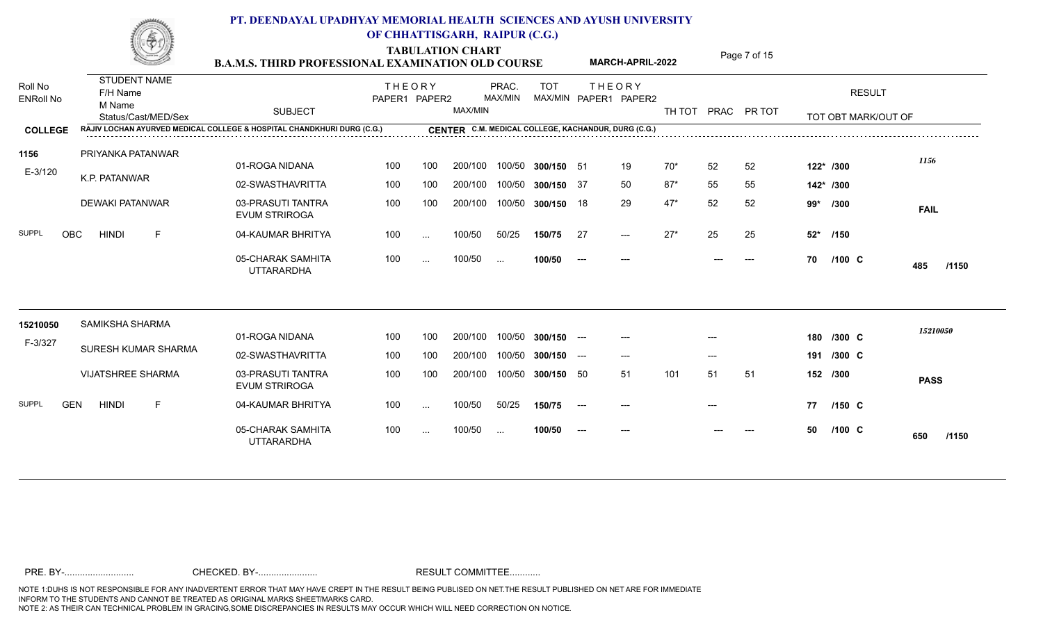**TABULATION CHART**<br>**B.A.M.S. THIRD PROFESSIONAL EXAMINATION OLD COURSE** MARCH-APRIL-2022 Page 7 of 15 Roll No<br>F/H Name ENRoll No M Name<br>Status/Cast/MED/Sex SUBJECT **RESULT** TOT OBT MARK/OUT OF TOT THE OR Y MAX/MIN MAX/MIN PAPER1 PAPER2 TH TOT PRAC PR TOT **COLLEGE CENTER RAJIV LOCHAN AYURVED MEDICAL COLLEGE & HOSPITAL CHANDKHURI DURG (C.G.) C.M. MEDICAL COLLEGE, KACHANDUR, DURG (C.G.)** THEORY PRAC. TOT PAPER1 PAPER2 MAX/MIN PRAC. MAX/MIN STUDENT NAME M Name **MARCH-APRIL-2022** 01-ROGA NIDANA 02-SWASTHAVRITTA 03-PRASUTI TANTRA EVUM STRIROGA 04-KAUMAR BHRITYA SUPPL OBC HINDI F 05-CHARAK SAMHITA UTTARARDHA --- 27\*  **/1150** 100 200/100 100/50 **300/150** 200/100 100/50 **300/150** 200/100 100/50 **300/150** 100/50 ... **100/50** 50/25 **150/75** 100/50 E-3/120 K.P. PATANWAR PRIYANKA PATANWAR **1156** DEWAKI PATANWAR 200/100 100/50 200/100 100/50 100 100 200/100 100/50 100 ... 100/50 50/25 100 ... 100/50 . 51 19 70\* 52 52 **122\* /300** 37 50 87\* 55 55 **142\* /300** 18 29 47\* 52 52 **99\*** 27 27\* 25 25 **52\*** --- --- --- --- --- --- 70 /100 C <mark>485 /1150</mark> **FAIL** *1156* **C** 195 11159 **/300 /150 /100** 01-ROGA NIDANA 02-SWASTHAVRITTA 03-PRASUTI TANTRA EVUM STRIROGA 04-KAUMAR BHRITYA SUPPL GEN HINDI F 05-CHARAK SAMHITA UTTARARDHA ---  **/1150** 100 200/100 100/50 **300/150** 200/100 100/50 **300/150** 200/100 100/50 **300/150** 100 ... 100/50 ... 100/50 -50/25 **150/75** 100/50 ... **100/50** F-3/327 SURESH KUMAR SHARMA SAMIKSHA SHARMA **15210050** VIJATSHREE SHARMA 200/100 100/50 200/100 100/50 100 100 200/100 100/50 100 ... 100/50 50/25 --- --- --- **180** --- --- --- **191 /300** 50 51 101 51 51 **152 /300** --- --- **77** --- --- --- --- --- --- 50 /100 C <mark>650 /1150</mark> **PASS** *15210050* C<sub>1021000</sub> **C C C /300 /150 /100**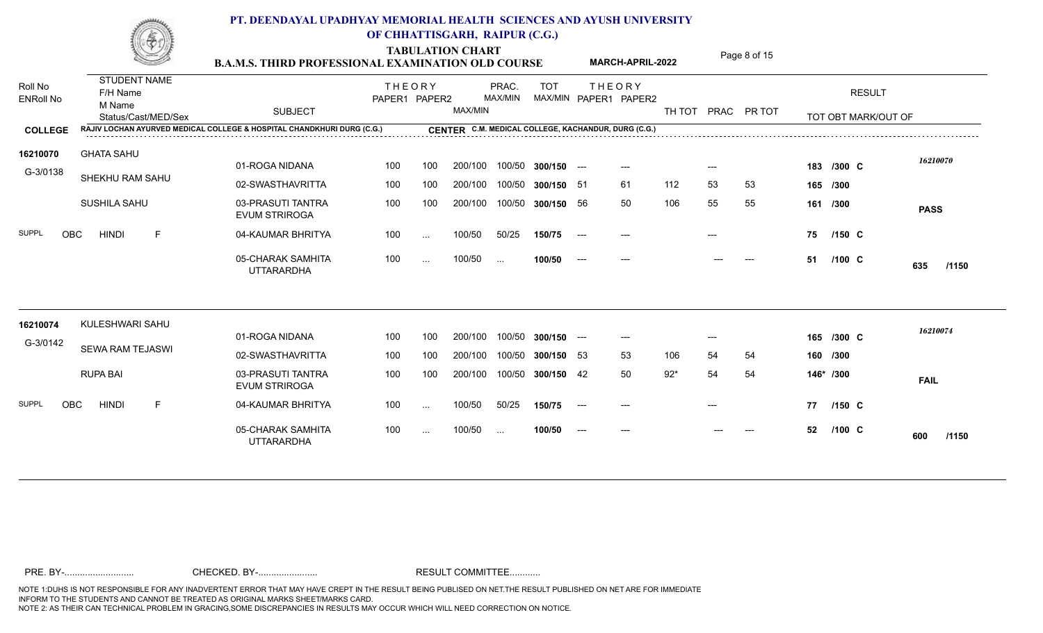|                             | mone de                                   | <b>B.A.M.S. THIRD PROFESSIONAL EXAMINATION OLD COURSE</b>              |                                |           | <b>TABULATION CHART</b> |                  |                    |               | <b>MARCH-APRIL-2022</b>                             |        |       | Page 8 of 15 |    |                     |              |
|-----------------------------|-------------------------------------------|------------------------------------------------------------------------|--------------------------------|-----------|-------------------------|------------------|--------------------|---------------|-----------------------------------------------------|--------|-------|--------------|----|---------------------|--------------|
| Roll No<br><b>ENRoll No</b> | <b>STUDENT NAME</b><br>F/H Name<br>M Name | <b>SUBJECT</b>                                                         | <b>THEORY</b><br>PAPER1 PAPER2 |           | MAX/MIN                 | PRAC.<br>MAX/MIN | <b>TOT</b>         |               | <b>THEORY</b><br>MAX/MIN PAPER1 PAPER2              | TH TOT |       | PRAC PR TOT  |    | <b>RESULT</b>       |              |
| <b>COLLEGE</b>              | Status/Cast/MED/Sex                       | RAJIV LOCHAN AYURVED MEDICAL COLLEGE & HOSPITAL CHANDKHURI DURG (C.G.) |                                |           |                         |                  |                    |               | CENTER C.M. MEDICAL COLLEGE, KACHANDUR, DURG (C.G.) |        |       |              |    | TOT OBT MARK/OUT OF |              |
| 16210070                    | <b>GHATA SAHU</b>                         |                                                                        |                                |           |                         |                  |                    |               |                                                     |        |       |              |    |                     |              |
| G-3/0138                    |                                           | 01-ROGA NIDANA                                                         | 100                            | 100       | 200/100                 |                  | 100/50 300/150 --- |               |                                                     |        |       |              |    | 183 /300 C          | 16210070     |
|                             | SHEKHU RAM SAHU                           | 02-SWASTHAVRITTA                                                       | 100                            | 100       | 200/100                 |                  | 100/50 300/150 51  |               | -61                                                 | 112    | 53    | 53           |    | 165 /300            |              |
|                             | SUSHILA SAHU                              | 03-PRASUTI TANTRA<br><b>EVUM STRIROGA</b>                              | 100                            | 100       | 200/100                 |                  | 100/50 300/150 56  |               | 50                                                  | 106    | 55    | 55           |    | 161 /300            | <b>PASS</b>  |
| <b>SUPPL</b><br><b>OBC</b>  | <b>HINDI</b><br>F                         | 04-KAUMAR BHRITYA                                                      | 100                            | $\ldots$  | 100/50                  | 50/25            | 150/75             | $---$         | ---                                                 |        |       |              | 75 | $/150$ C            |              |
|                             |                                           | 05-CHARAK SAMHITA<br><b>UTTARARDHA</b>                                 | 100                            | $\sim$    | 100/50                  | $\sim$ .         | 100/50             | $\sim$ $\sim$ | $---$                                               |        |       | ---          | 51 | $/100 \, C$         | 635<br>/1150 |
| 16210074                    | KULESHWARI SAHU                           |                                                                        |                                |           |                         |                  |                    |               |                                                     |        |       |              |    |                     | 16210074     |
| G-3/0142                    | <b>SEWA RAM TEJASWI</b>                   | 01-ROGA NIDANA                                                         | 100                            | 100       | 200/100                 | 100/50           | $300/150$ ---      |               | $---$                                               |        | $---$ |              |    | 165 /300 C          |              |
|                             |                                           | 02-SWASTHAVRITTA                                                       | 100                            | 100       | 200/100                 |                  | 100/50 300/150 53  |               | 53                                                  | 106    | 54    | 54           |    | 160 /300            |              |
|                             | <b>RUPA BAI</b>                           | 03-PRASUTI TANTRA<br><b>EVUM STRIROGA</b>                              | 100                            | 100       | 200/100                 |                  | 100/50 300/150 42  |               | 50                                                  | $92*$  | 54    | 54           |    | 146* /300           | <b>FAIL</b>  |
| SUPPL<br><b>OBC</b>         | <b>HINDI</b><br>F                         | 04-KAUMAR BHRITYA                                                      | 100                            | $\ddotsc$ | 100/50                  | 50/25            | 150/75             | $---$         | $---$                                               |        | $---$ |              | 77 | $/150$ C            |              |
|                             |                                           | 05-CHARAK SAMHITA<br><b>UTTARARDHA</b>                                 | 100                            | $\ldots$  | 100/50                  | $\sim$ .         | 100/50             |               |                                                     |        |       |              | 52 | /100 C              | /1150<br>600 |
|                             |                                           |                                                                        |                                |           |                         |                  |                    |               |                                                     |        |       |              |    |                     |              |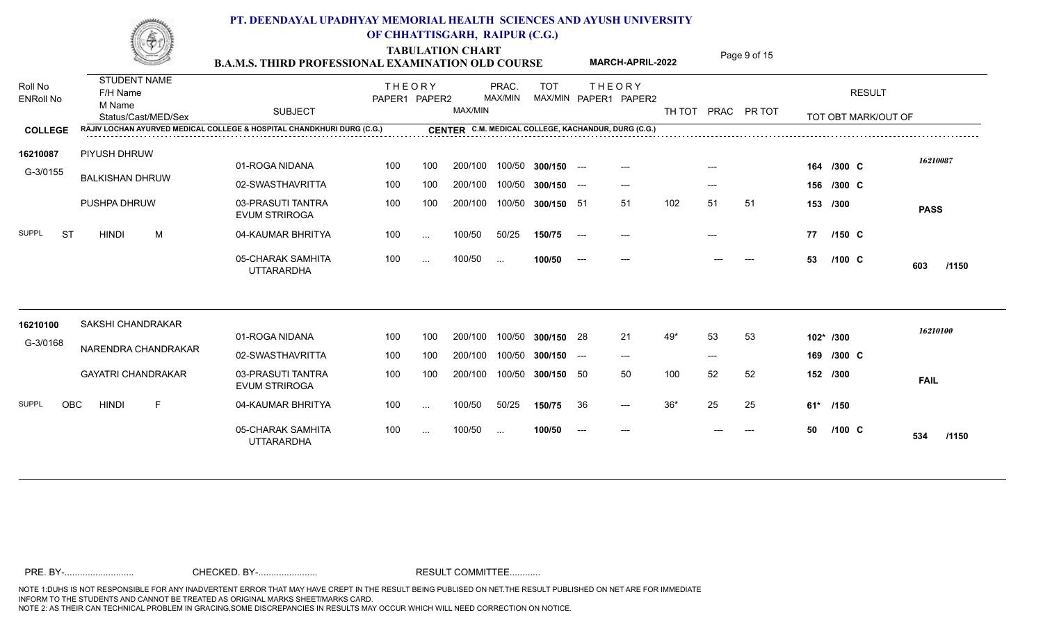|                             | No anno                         | <b>B.A.M.S. THIRD PROFESSIONAL EXAMINATION OLD COURSE</b>              |                                |          | <b>TABULATION CHART</b> |                  |               |       | <b>MARCH-APRIL-2022</b>                             |       |       | Page 9 of 15       |          |                     |              |
|-----------------------------|---------------------------------|------------------------------------------------------------------------|--------------------------------|----------|-------------------------|------------------|---------------|-------|-----------------------------------------------------|-------|-------|--------------------|----------|---------------------|--------------|
| Roll No<br><b>ENRoll No</b> | <b>STUDENT NAME</b><br>F/H Name |                                                                        | <b>THEORY</b><br>PAPER1 PAPER2 |          |                         | PRAC.<br>MAX/MIN | <b>TOT</b>    |       | <b>THEORY</b><br>MAX/MIN PAPER1 PAPER2              |       |       |                    |          | <b>RESULT</b>       |              |
|                             | M Name<br>Status/Cast/MED/Sex   | <b>SUBJECT</b>                                                         |                                |          | MAX/MIN                 |                  |               |       |                                                     |       |       | TH TOT PRAC PR TOT |          | TOT OBT MARK/OUT OF |              |
| <b>COLLEGE</b>              |                                 | RAJIV LOCHAN AYURVED MEDICAL COLLEGE & HOSPITAL CHANDKHURI DURG (C.G.) |                                |          |                         |                  |               |       | CENTER C.M. MEDICAL COLLEGE, KACHANDUR, DURG (C.G.) |       |       |                    |          |                     |              |
| 16210087                    | PIYUSH DHRUW                    |                                                                        |                                |          |                         |                  |               |       |                                                     |       |       |                    |          |                     | 16210087     |
| G-3/0155                    | <b>BALKISHAN DHRUW</b>          | 01-ROGA NIDANA                                                         | 100                            | 100      | 200/100                 | 100/50           | $300/150$ --- |       |                                                     |       |       |                    |          | 164 /300 C          |              |
|                             |                                 | 02-SWASTHAVRITTA                                                       | 100                            | 100      | 200/100                 | 100/50           | $300/150$ --- |       | $---$                                               |       | $---$ |                    |          | 156 /300 C          |              |
|                             | PUSHPA DHRUW                    | 03-PRASUTI TANTRA<br><b>EVUM STRIROGA</b>                              | 100                            | 100      | 200/100                 | 100/50           | 300/150 51    |       | 51                                                  | 102   | 51    | 51                 | 153 /300 |                     | <b>PASS</b>  |
| <b>SUPPL</b><br>ST          | <b>HINDI</b><br>M               | 04-KAUMAR BHRITYA                                                      | 100                            | $\cdots$ | 100/50                  | 50/25            | 150/75        | $---$ |                                                     |       |       |                    | 77       | $/150$ C            |              |
|                             |                                 | 05-CHARAK SAMHITA<br><b>UTTARARDHA</b>                                 | 100                            | $\cdots$ | 100/50                  | $\sim$           | 100/50        | $--$  | $---$                                               |       |       | $---$              | 53       | $/100 \text{ C}$    | 603<br>/1150 |
| 16210100                    | <b>SAKSHI CHANDRAKAR</b>        |                                                                        |                                |          |                         |                  |               |       |                                                     |       |       |                    |          |                     |              |
| G-3/0168                    |                                 | 01-ROGA NIDANA                                                         | 100                            | 100      | 200/100                 | 100/50           | 300/150 28    |       | 21                                                  | $49*$ | 53    | 53                 |          | 102* /300           | 16210100     |
|                             | NARENDRA CHANDRAKAR             | 02-SWASTHAVRITTA                                                       | 100                            | 100      | 200/100                 | 100/50           | 300/150       | $---$ | $---$                                               |       | $---$ |                    |          | 169 /300 C          |              |
|                             | <b>GAYATRI CHANDRAKAR</b>       | 03-PRASUTI TANTRA<br><b>EVUM STRIROGA</b>                              | 100                            | 100      | 200/100                 | 100/50           | 300/150 50    |       | 50                                                  | 100   | 52    | 52                 | 152 /300 |                     | <b>FAIL</b>  |
| <b>SUPPL</b><br><b>OBC</b>  | <b>HINDI</b><br>E               | 04-KAUMAR BHRITYA                                                      | 100                            | $\sim$ . | 100/50                  | 50/25            | 150/75        | 36    | $---$                                               | $36*$ | 25    | 25                 | 61* /150 |                     |              |
|                             |                                 | 05-CHARAK SAMHITA<br><b>UTTARARDHA</b>                                 | 100                            | $\cdots$ | 100/50                  | $\sim$ .         | 100/50        | $--$  | $---$                                               |       |       | $---$              | 50       | $/100 \, C$         | 534<br>/1150 |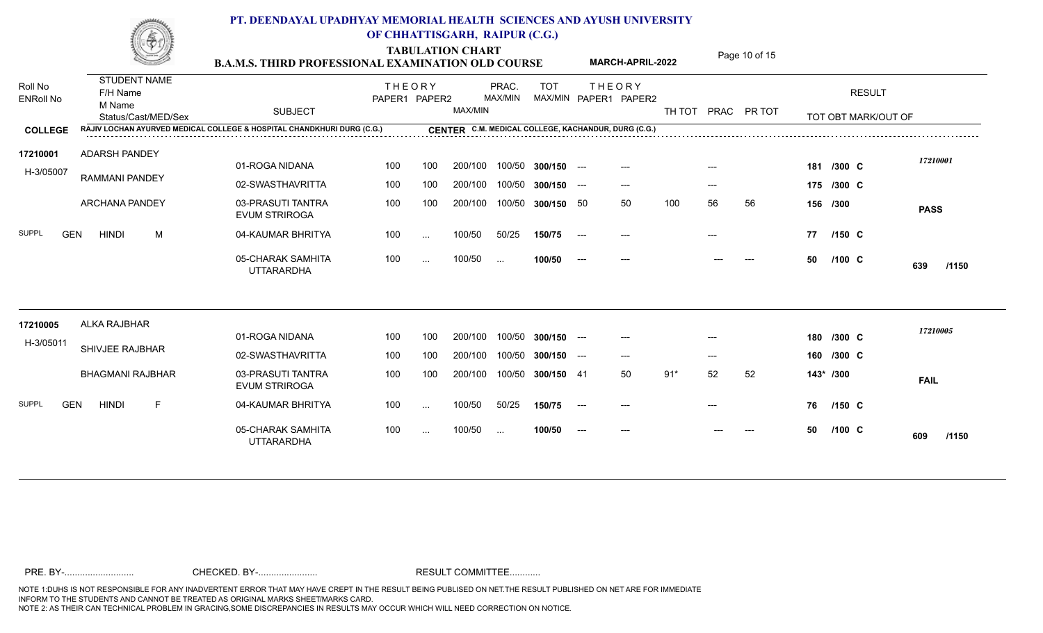|                             |                    | No. annum               |   | <b>B.A.M.S. THIRD PROFESSIONAL EXAMINATION OLD COURSE</b>              |                                |          | <b>TABULATION CHART</b> |                  |               |                                          | <b>MARCH-APRIL-2022</b>                             |        |       | Page 10 of 15 |     |                  |                     |              |
|-----------------------------|--------------------|-------------------------|---|------------------------------------------------------------------------|--------------------------------|----------|-------------------------|------------------|---------------|------------------------------------------|-----------------------------------------------------|--------|-------|---------------|-----|------------------|---------------------|--------------|
| Roll No<br><b>ENRoll No</b> | F/H Name<br>M Name | <b>STUDENT NAME</b>     |   |                                                                        | <b>THEORY</b><br>PAPER1 PAPER2 |          |                         | PRAC.<br>MAX/MIN | <b>TOT</b>    |                                          | <b>THEORY</b><br>MAX/MIN PAPER1 PAPER2              |        |       |               |     |                  | <b>RESULT</b>       |              |
|                             |                    | Status/Cast/MED/Sex     |   | <b>SUBJECT</b>                                                         |                                |          | MAX/MIN                 |                  |               |                                          |                                                     | TH TOT | PRAC  | PR TOT        |     |                  | TOT OBT MARK/OUT OF |              |
| <b>COLLEGE</b>              |                    |                         |   | RAJIV LOCHAN AYURVED MEDICAL COLLEGE & HOSPITAL CHANDKHURI DURG (C.G.) |                                |          |                         |                  |               |                                          | CENTER C.M. MEDICAL COLLEGE, KACHANDUR, DURG (C.G.) |        |       |               |     |                  |                     |              |
| 17210001                    |                    | ADARSH PANDEY           |   |                                                                        |                                |          |                         |                  |               |                                          |                                                     |        |       |               |     |                  |                     | 17210001     |
| H-3/05007                   |                    |                         |   | 01-ROGA NIDANA                                                         | 100                            | 100      | 200/100                 | 100/50           | $300/150$ --- |                                          | $---$                                               |        |       |               | 181 | /300 C           |                     |              |
|                             |                    | <b>RAMMANI PANDEY</b>   |   | 02-SWASTHAVRITTA                                                       | 100                            | 100      | 200/100                 | 100/50           | $300/150$ --- |                                          | $---$                                               |        | $---$ |               |     | 175 /300 C       |                     |              |
|                             |                    | <b>ARCHANA PANDEY</b>   |   | 03-PRASUTI TANTRA<br><b>EVUM STRIROGA</b>                              | 100                            | 100      | 200/100                 | 100/50           | 300/150 50    |                                          | 50                                                  | 100    | 56    | 56            |     | 156 /300         |                     | <b>PASS</b>  |
| <b>SUPPL</b><br><b>GEN</b>  | <b>HINDI</b>       |                         | M | 04-KAUMAR BHRITYA                                                      | 100                            | $\sim$ . | 100/50                  | 50/25            | 150/75        | $\hspace{0.05cm} \ldots \hspace{0.05cm}$ |                                                     |        |       |               | 77  | $/150$ C         |                     |              |
|                             |                    |                         |   | 05-CHARAK SAMHITA<br><b>UTTARARDHA</b>                                 | 100                            | $\cdots$ | 100/50                  | $\cdots$         | 100/50        | $---$                                    |                                                     |        |       |               | 50  | $/100 \text{ C}$ |                     | 639<br>/1150 |
| 17210005                    |                    | ALKA RAJBHAR            |   |                                                                        |                                |          |                         |                  |               |                                          |                                                     |        |       |               |     |                  |                     |              |
| H-3/05011                   |                    |                         |   | 01-ROGA NIDANA                                                         | 100                            | 100      | 200/100                 | 100/50           | $300/150$ --- |                                          | $---$                                               |        |       |               |     | 180 /300 C       |                     | 17210005     |
|                             |                    | SHIVJEE RAJBHAR         |   | 02-SWASTHAVRITTA                                                       | 100                            | 100      | 200/100                 | 100/50           | 300/150       | $---$                                    | ---                                                 |        | $---$ |               |     | 160 /300 C       |                     |              |
|                             |                    | <b>BHAGMANI RAJBHAR</b> |   | 03-PRASUTI TANTRA<br><b>EVUM STRIROGA</b>                              | 100                            | 100      | 200/100                 | 100/50           | 300/150 41    |                                          | 50                                                  | $91*$  | 52    | 52            |     | 143* /300        |                     | <b>FAIL</b>  |
| <b>SUPPL</b><br><b>GEN</b>  | <b>HINDI</b>       |                         | F | 04-KAUMAR BHRITYA                                                      | 100                            | $\sim$ . | 100/50                  | 50/25            | 150/75        | $---$                                    | ---                                                 |        |       |               | 76  | $/150 \, C$      |                     |              |
|                             |                    |                         |   | 05-CHARAK SAMHITA<br><b>UTTARARDHA</b>                                 | 100                            | $\cdots$ | 100/50                  | $\sim$ .         | 100/50        | $---$                                    |                                                     |        |       |               | 50  | $/100 \text{ C}$ |                     | /1150<br>609 |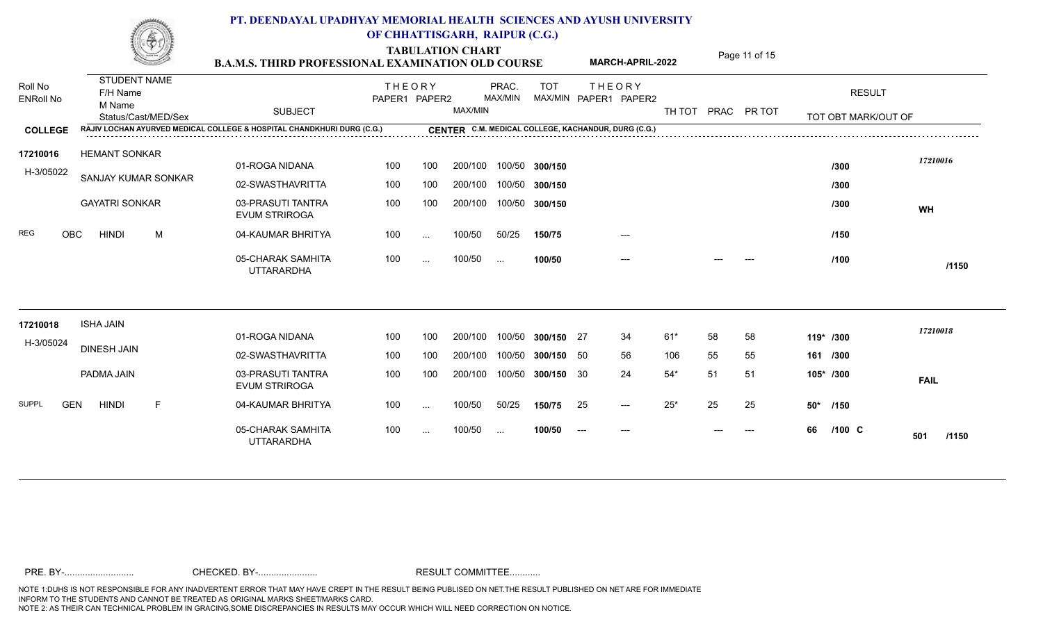**TABULATION CHART** Page 11 of 15

|                                               | <u>SSI</u>                                                       |   | <b>B.A.M.S. THIRD PROFESSIONAL EXAMINATION OLD COURSE</b>                                |                                |               |         |                  |            | <b>MARCH-APRIL-2022</b>                                                                       |       |    | Page II OI 15      |                                      |              |
|-----------------------------------------------|------------------------------------------------------------------|---|------------------------------------------------------------------------------------------|--------------------------------|---------------|---------|------------------|------------|-----------------------------------------------------------------------------------------------|-------|----|--------------------|--------------------------------------|--------------|
| Roll No<br><b>ENRoll No</b><br><b>COLLEGE</b> | <b>STUDENT NAME</b><br>F/H Name<br>M Name<br>Status/Cast/MED/Sex |   | <b>SUBJECT</b><br>RAJIV LOCHAN AYURVED MEDICAL COLLEGE & HOSPITAL CHANDKHURI DURG (C.G.) | <b>THEORY</b><br>PAPER1 PAPER2 |               | MAX/MIN | PRAC.<br>MAX/MIN | <b>TOT</b> | <b>THEORY</b><br>MAX/MIN PAPER1 PAPER2<br>CENTER C.M. MEDICAL COLLEGE, KACHANDUR, DURG (C.G.) |       |    | TH TOT PRAC PR TOT | <b>RESULT</b><br>TOT OBT MARK/OUT OF |              |
|                                               |                                                                  |   |                                                                                          |                                |               |         |                  |            |                                                                                               |       |    |                    |                                      |              |
| 17210016<br>H-3/05022                         | <b>HEMANT SONKAR</b>                                             |   | 01-ROGA NIDANA                                                                           | 100                            | 100           | 200/100 | 100/50           | 300/150    |                                                                                               |       |    |                    | /300                                 | 17210016     |
|                                               | SANJAY KUMAR SONKAR                                              |   | 02-SWASTHAVRITTA                                                                         | 100                            | 100           | 200/100 | 100/50           | 300/150    |                                                                                               |       |    |                    | /300                                 |              |
|                                               | <b>GAYATRI SONKAR</b>                                            |   | 03-PRASUTI TANTRA<br><b>EVUM STRIROGA</b>                                                | 100                            | 100           | 200/100 | 100/50           | 300/150    |                                                                                               |       |    |                    | /300                                 | WH           |
| <b>REG</b><br><b>OBC</b>                      | <b>HINDI</b>                                                     | M | 04-KAUMAR BHRITYA                                                                        | 100                            | $\sim$ $\sim$ | 100/50  | 50/25            | 150/75     | $---$                                                                                         |       |    |                    | /150                                 |              |
|                                               |                                                                  |   | 05-CHARAK SAMHITA<br><b>UTTARARDHA</b>                                                   | 100                            | $\cdots$      | 100/50  | $\sim$ . $\sim$  | 100/50     | ---                                                                                           |       |    |                    | /100                                 | /1150        |
| 17210018                                      | <b>ISHA JAIN</b>                                                 |   |                                                                                          |                                |               |         |                  |            |                                                                                               |       |    |                    |                                      | 17210018     |
| H-3/05024                                     | <b>DINESH JAIN</b>                                               |   | 01-ROGA NIDANA                                                                           | 100                            | 100           | 200/100 | 100/50           | 300/150 27 | 34                                                                                            | $61*$ | 58 | 58                 | 119* /300                            |              |
|                                               |                                                                  |   | 02-SWASTHAVRITTA                                                                         | 100                            | 100           | 200/100 | 100/50           | 300/150 50 | 56                                                                                            | 106   | 55 | 55                 | 161 /300                             |              |
|                                               | PADMA JAIN                                                       |   | 03-PRASUTI TANTRA<br><b>EVUM STRIROGA</b>                                                | 100                            | 100           | 200/100 | 100/50           | 300/150 30 | 24                                                                                            | $54*$ | 51 | 51                 | 105* /300                            | <b>FAIL</b>  |
| <b>SUPPL</b><br><b>GEN</b>                    | <b>HINDI</b>                                                     | E | 04-KAUMAR BHRITYA                                                                        | 100                            | $\sim$        | 100/50  | 50/25            | 150/75     | 25<br>$---$                                                                                   | $25*$ | 25 | 25                 | 50*<br>/150                          |              |
|                                               |                                                                  |   | 05-CHARAK SAMHITA<br><b>UTTARARDHA</b>                                                   | 100                            | $\cdots$      | 100/50  | $\sim$ .         | 100/50     | $---$<br>$---$                                                                                |       |    | $---$              | $/100$ C<br>66                       | /1150<br>501 |
|                                               |                                                                  |   |                                                                                          |                                |               |         |                  |            |                                                                                               |       |    |                    |                                      |              |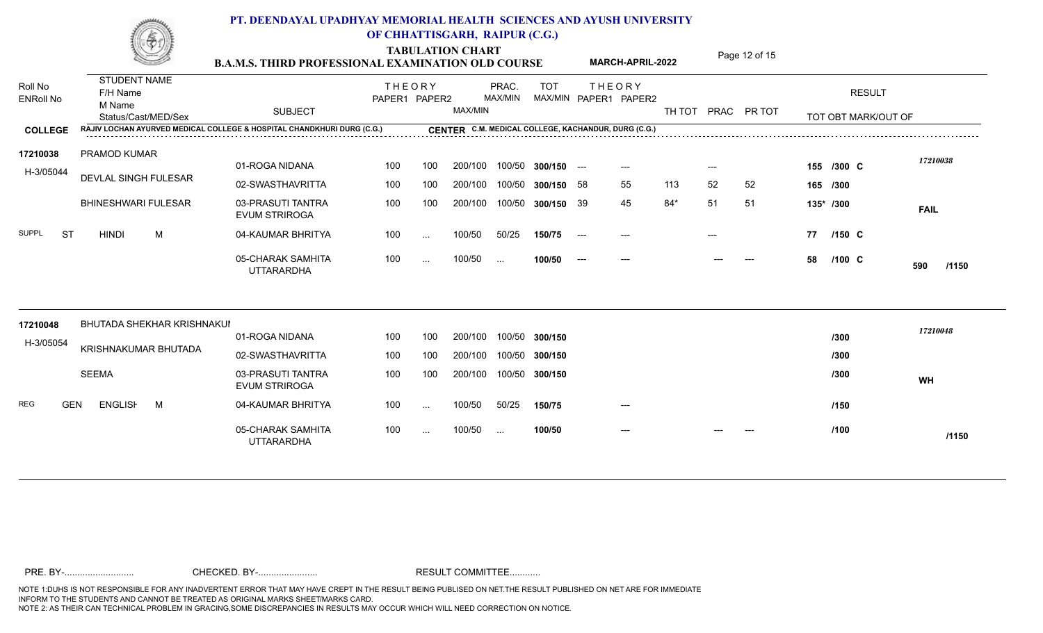**TABULATION CHART<br>B.A.M.S. THIRD PROFESSIONAL EXAMINATION OLD COURSE MARCH-APRIL-2022** Page 12 of 15 Roll No<br>F/H Name ENRoll No SUBJECT<br>Status/Cast/MED/Sex SUBJECT RESULT TOT OBT MARK/OUT OF TOT THE OR Y MAX/MIN MAX/MIN PAPER1 PAPER2 TH TOT PRAC PR TOT **COLLEGE CENTER RAJIV LOCHAN AYURVED MEDICAL COLLEGE & HOSPITAL CHANDKHURI DURG (C.G.) C.M. MEDICAL COLLEGE, KACHANDUR, DURG (C.G.)** THEORY PRAC. TOT PAPER1 PAPER2 MAX/MIN PRAC. MAX/MIN STUDENT NAME M Name **MARCH-APRIL-2022** 01-ROGA NIDANA 02-SWASTHAVRITTA 100 100 03-PRASUTI TANTRA EVUM STRIROGA 04-KAUMAR BHRITYA SUPPL ST HINDI M 05-CHARAK SAMHITA UTTARARDHA ---  **/1150 C** 100 200/100 100/50 **300/150** 200/100 100/50 **300/150** 200/100 100/50 **300/150** 100/50 ... **100/50** 50/25 **150/75** 100/50 H-3/05044 PRAMOD KUMAR **17210038** DEVLAL SINGH FULESAR BHINESHWARI FULESAR 200/100 100/50 200/100 100/50 100 100 200/100 100/50 100 ... 100/50 50/25 100 ... 100/50 . --- --- --- **155 /300** 58 55 113 52 52 **165 /300** 39 45 84\* 51 51 **135\* /300** --- --- **77** --- --- --- --- --- --- 58 /100 C 590 /1150 **FAIL** *17210038* **C** 1.21000 **C /150 /100** 01-ROGA NIDANA 02-SWASTHAVRITTA 03-PRASUTI TANTRA EVUM STRIROGA 100 200/100 100 200/100 100/50 **300/150** 200/100 100/50 **300/150** 100/50 **300/150** H-3/05054 17210048 BHUTADA SHEKHAR KRISHNAKUI KRISHNAKUMAR BHUTADA SEEMA 200/100 100/50 100 100 200/100 100/50 ... --- --- --- **WH** *17210048* **/300 /300 /300**

100/50 ... **100/50**

50/25 **150/75** 100/50

---

 **/1150**

**/150**

**/100**

04-KAUMAR BHRITYA REG GEN ENGLISH M

05-CHARAK SAMHITA UTTARARDHA

100 ... 100/50 50/25

100 ... 100/50 ...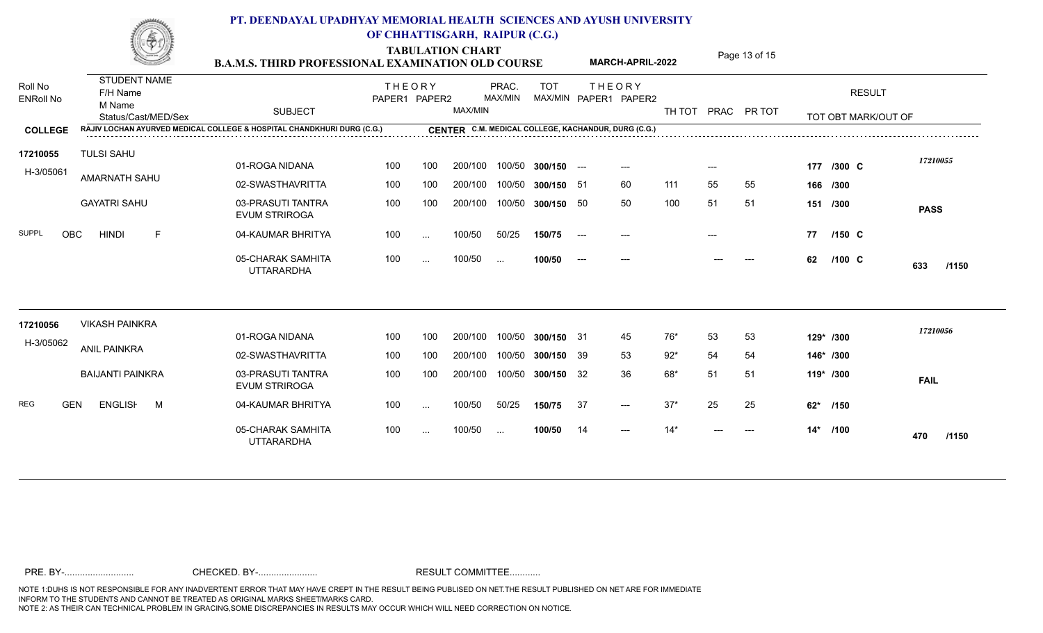|                             | No. annum                                 | <b>B.A.M.S. THIRD PROFESSIONAL EXAMINATION OLD COURSE</b>              |                                |          | <b>TABULATION CHART</b> |                  |               |                                          | <b>MARCH-APRIL-2022</b>                             |        |       | Page 13 of 15 |     |                     |              |
|-----------------------------|-------------------------------------------|------------------------------------------------------------------------|--------------------------------|----------|-------------------------|------------------|---------------|------------------------------------------|-----------------------------------------------------|--------|-------|---------------|-----|---------------------|--------------|
| Roll No<br><b>ENRoll No</b> | <b>STUDENT NAME</b><br>F/H Name<br>M Name |                                                                        | <b>THEORY</b><br>PAPER1 PAPER2 |          |                         | PRAC.<br>MAX/MIN | <b>TOT</b>    |                                          | <b>THEORY</b><br>MAX/MIN PAPER1 PAPER2              |        |       |               |     | <b>RESULT</b>       |              |
|                             | Status/Cast/MED/Sex                       | <b>SUBJECT</b>                                                         |                                |          | MAX/MIN                 |                  |               |                                          |                                                     | TH TOT | PRAC  | PR TOT        |     | TOT OBT MARK/OUT OF |              |
| <b>COLLEGE</b>              |                                           | RAJIV LOCHAN AYURVED MEDICAL COLLEGE & HOSPITAL CHANDKHURI DURG (C.G.) |                                |          |                         |                  |               |                                          | CENTER C.M. MEDICAL COLLEGE, KACHANDUR, DURG (C.G.) |        |       |               |     |                     |              |
| 17210055                    | <b>TULSI SAHU</b>                         |                                                                        |                                |          |                         |                  |               |                                          |                                                     |        |       |               |     |                     | 17210055     |
| H-3/05061                   |                                           | 01-ROGA NIDANA                                                         | 100                            | 100      | 200/100                 | 100/50           | $300/150$ --- |                                          | $---$                                               |        | $---$ |               |     | 177 /300 C          |              |
|                             | AMARNATH SAHU                             | 02-SWASTHAVRITTA                                                       | 100                            | 100      | 200/100                 | 100/50           | 300/150 51    |                                          | 60                                                  | 111    | 55    | 55            |     | 166 /300            |              |
|                             | <b>GAYATRI SAHU</b>                       | 03-PRASUTI TANTRA<br><b>EVUM STRIROGA</b>                              | 100                            | 100      | 200/100                 | 100/50           | 300/150 50    |                                          | 50                                                  | 100    | 51    | 51            |     | 151 /300            | <b>PASS</b>  |
| <b>SUPPL</b><br><b>OBC</b>  | <b>HINDI</b><br>E                         | 04-KAUMAR BHRITYA                                                      | 100                            | $\sim$ . | 100/50                  | 50/25            | 150/75        | $\hspace{0.05cm} \ldots \hspace{0.05cm}$ |                                                     |        |       |               | 77  | $/150 \, C$         |              |
|                             |                                           | 05-CHARAK SAMHITA<br><b>UTTARARDHA</b>                                 | 100                            | $\cdots$ | 100/50                  | $\cdots$         | 100/50        | $---$                                    |                                                     |        |       |               | 62  | $/100 \text{ C}$    | 633<br>/1150 |
| 17210056                    | <b>VIKASH PAINKRA</b>                     |                                                                        |                                |          |                         |                  |               |                                          |                                                     |        |       |               |     |                     |              |
| H-3/05062                   |                                           | 01-ROGA NIDANA                                                         | 100                            | 100      | 200/100                 | 100/50           | 300/150 31    |                                          | 45                                                  | 76*    | 53    | 53            |     | 129* /300           | 17210056     |
|                             | <b>ANIL PAINKRA</b>                       | 02-SWASTHAVRITTA                                                       | 100                            | 100      | 200/100                 | 100/50           | 300/150 39    |                                          | 53                                                  | $92*$  | 54    | 54            |     | 146* /300           |              |
|                             | <b>BAIJANTI PAINKRA</b>                   | 03-PRASUTI TANTRA<br><b>EVUM STRIROGA</b>                              | 100                            | 100      | 200/100                 | 100/50           | 300/150 32    |                                          | 36                                                  | 68*    | 51    | 51            |     | 119* /300           | <b>FAIL</b>  |
| <b>REG</b><br><b>GEN</b>    | <b>ENGLISH</b><br>M                       | 04-KAUMAR BHRITYA                                                      | 100                            | $\sim$ . | 100/50                  | 50/25            | 150/75        | -37                                      | $---$                                               | $37*$  | 25    | 25            | 62* | /150                |              |
|                             |                                           | 05-CHARAK SAMHITA<br><b>UTTARARDHA</b>                                 | 100                            | $\cdots$ | 100/50                  | $\sim$ .         | 100/50        | 14                                       | $---$                                               | $14*$  |       | $---$         |     | 14* /100            | /1150<br>470 |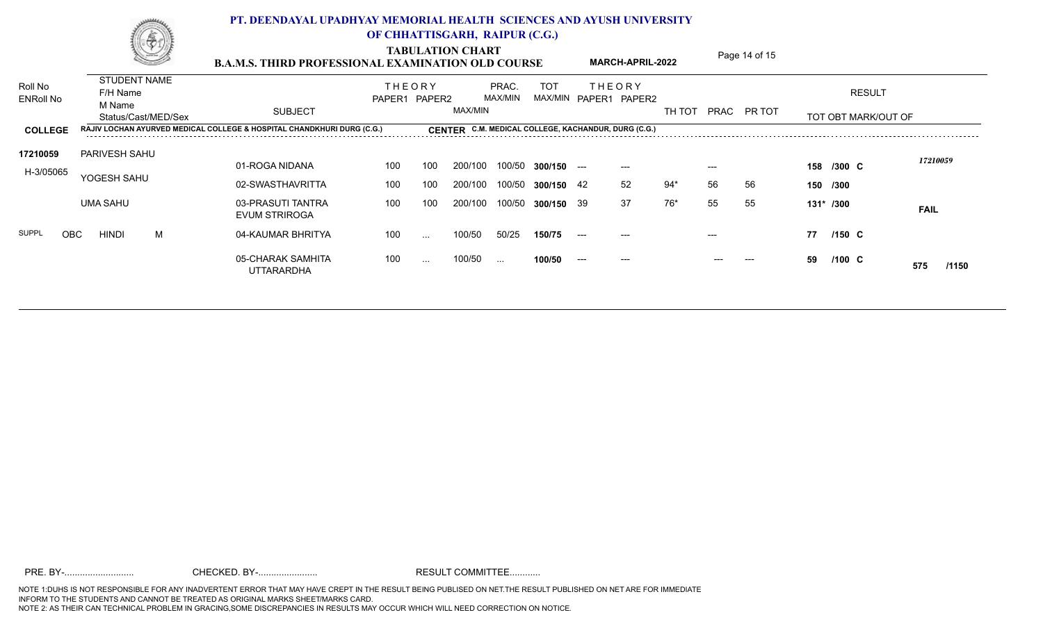| <b>STUDENT NAME</b><br>F/H Name<br>M Name<br>Status/Cast/MED/Sex | <b>SUBJECT</b>                            |     |                                                                        |               |                          | TOT                                                               |                                                                               |                                                       | TH TOT                                                                                 |                         |    |                              | <b>RESULT</b> |                                                                                            |
|------------------------------------------------------------------|-------------------------------------------|-----|------------------------------------------------------------------------|---------------|--------------------------|-------------------------------------------------------------------|-------------------------------------------------------------------------------|-------------------------------------------------------|----------------------------------------------------------------------------------------|-------------------------|----|------------------------------|---------------|--------------------------------------------------------------------------------------------|
|                                                                  |                                           |     |                                                                        |               |                          |                                                                   |                                                                               |                                                       |                                                                                        |                         |    |                              |               |                                                                                            |
| <b>PARIVESH SAHU</b>                                             | 01-ROGA NIDANA                            | 100 | 100                                                                    | 200/100       |                          |                                                                   |                                                                               | $---$                                                 |                                                                                        | $---$                   |    |                              |               | 17210059                                                                                   |
|                                                                  | 02-SWASTHAVRITTA                          | 100 | 100                                                                    |               |                          |                                                                   |                                                                               | 52                                                    | 94*                                                                                    | 56                      | 56 |                              |               |                                                                                            |
| <b>UMA SAHU</b>                                                  | 03-PRASUTI TANTRA<br><b>EVUM STRIROGA</b> | 100 | 100                                                                    |               |                          |                                                                   |                                                                               | 37                                                    | 76*                                                                                    | 55                      | 55 |                              |               | <b>FAIL</b>                                                                                |
| M<br><b>OBC</b><br><b>HINDI</b>                                  | 04-KAUMAR BHRITYA                         | 100 | $\sim$ $\sim$ $\sim$                                                   | 100/50        | 50/25                    | 150/75                                                            | $--$                                                                          | $---$                                                 |                                                                                        | $---$                   |    | 77                           |               |                                                                                            |
|                                                                  | 05-CHARAK SAMHITA<br><b>UTTARARDHA</b>    | 100 | $\ldots$                                                               | 100/50        | $\sim$ $\sim$            | 100/50                                                            | $---$                                                                         | ---                                                   |                                                                                        |                         |    | 59                           |               | 575<br>/1150                                                                               |
|                                                                  | YOGESH SAHU                               |     | RAJIV LOCHAN AYURVED MEDICAL COLLEGE & HOSPITAL CHANDKHURI DURG (C.G.) | <b>THEORY</b> | PAPER1 PAPER2<br>200/100 | <b>TABULATION CHART</b><br>PRAC.<br>MAX/MIN<br>MAX/MIN<br>200/100 | <b>B.A.M.S. THIRD PROFESSIONAL EXAMINATION OLD COURSE</b><br>100/50<br>100/50 | 300/150<br>$- - -$<br>300/150 42<br>100/50 300/150 39 | THEORY<br>MAX/MIN PAPER1 PAPER2<br>CENTER C.M. MEDICAL COLLEGE, KACHANDUR, DURG (C.G.) | <b>MARCH-APRIL-2022</b> |    | Page 14 of 15<br>PRAC PR TOT |               | TOT OBT MARK/OUT OF<br>158 /300 C<br>150 /300<br>131* /300<br>$/150$ C<br>$/100 \text{ C}$ |